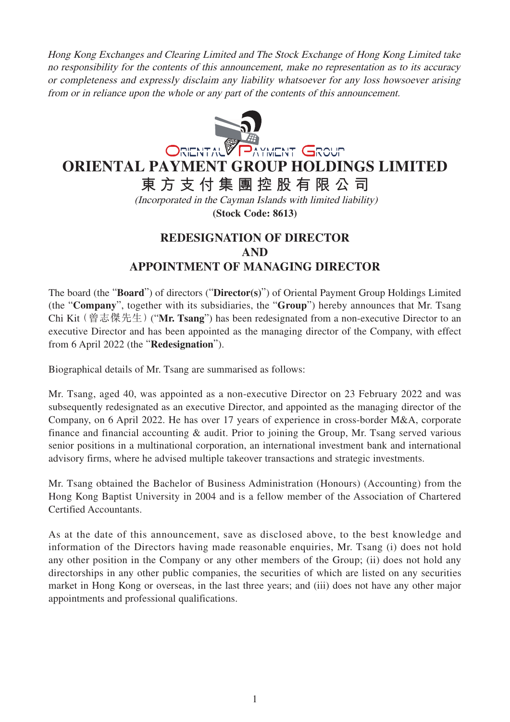Hong Kong Exchanges and Clearing Limited and The Stock Exchange of Hong Kong Limited take no responsibility for the contents of this announcement, make no representation as to its accuracy or completeness and expressly disclaim any liability whatsoever for any loss howsoever arising from or in reliance upon the whole or any part of the contents of this announcement.



**東方支付集團控股有限公司**

(Incorporated in the Cayman Islands with limited liability) **(Stock Code: 8613)**

## **REDESIGNATION OF DIRECTOR AND APPOINTMENT OF MANAGING DIRECTOR**

The board (the "**Board**") of directors ("**Director(s)**") of Oriental Payment Group Holdings Limited (the "**Company**", together with its subsidiaries, the "**Group**") hereby announces that Mr. Tsang Chi Kit(曾志傑先生)("**Mr. Tsang**") has been redesignated from a non-executive Director to an executive Director and has been appointed as the managing director of the Company, with effect from 6 April 2022 (the "**Redesignation**").

Biographical details of Mr. Tsang are summarised as follows:

Mr. Tsang, aged 40, was appointed as a non-executive Director on 23 February 2022 and was subsequently redesignated as an executive Director, and appointed as the managing director of the Company, on 6 April 2022. He has over 17 years of experience in cross-border M&A, corporate finance and financial accounting & audit. Prior to joining the Group, Mr. Tsang served various senior positions in a multinational corporation, an international investment bank and international advisory firms, where he advised multiple takeover transactions and strategic investments.

Mr. Tsang obtained the Bachelor of Business Administration (Honours) (Accounting) from the Hong Kong Baptist University in 2004 and is a fellow member of the Association of Chartered Certified Accountants.

As at the date of this announcement, save as disclosed above, to the best knowledge and information of the Directors having made reasonable enquiries, Mr. Tsang (i) does not hold any other position in the Company or any other members of the Group; (ii) does not hold any directorships in any other public companies, the securities of which are listed on any securities market in Hong Kong or overseas, in the last three years; and (iii) does not have any other major appointments and professional qualifications.